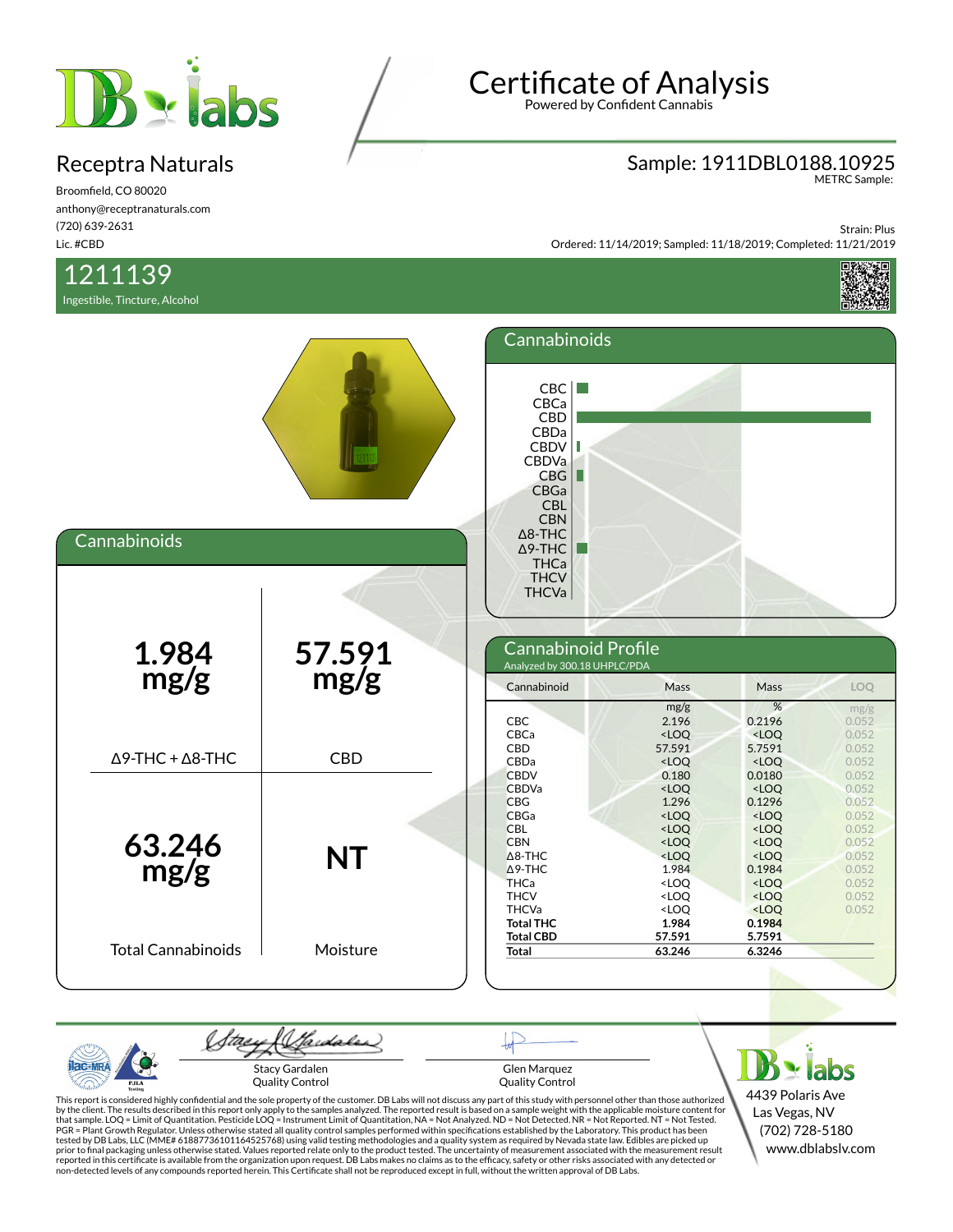

Broomfield, CO 80020 anthony@receptranaturals.com (720) 639-2631 Lic. #CBD

## 1211139

Ingestible, Tincture, Alcohol

# Certificate of Analysis

Powered by Confident Cannabis

## Sample: 1911DBL0188.10925 METRC Sample:

Strain: Plus Ordered: 11/14/2019; Sampled: 11/18/2019; Completed: 11/21/2019



| Cannabinoids                    |                | Cannabinoids<br>CBC<br>CBCa<br><b>CBD</b><br>CBDa<br>CBDV<br>Ш<br><b>CBDVa</b><br>CBG<br>L<br>CBGa<br><b>CBL</b><br><b>CBN</b><br>$\Delta$ 8-THC<br>$\Delta$ 9-THC |                                                                                                                                                           |                                                                                                                                                                                            |                                                                               |
|---------------------------------|----------------|--------------------------------------------------------------------------------------------------------------------------------------------------------------------|-----------------------------------------------------------------------------------------------------------------------------------------------------------|--------------------------------------------------------------------------------------------------------------------------------------------------------------------------------------------|-------------------------------------------------------------------------------|
| $1.984$<br>mg/g                 | 57.591<br>mg/g | <b>THCa</b><br><b>THCV</b><br><b>THCVa</b><br>Cannabinoid Profile<br>Analyzed by 300.18 UHPLC/PDA<br>Cannabinoid                                                   | Mass                                                                                                                                                      | Mass                                                                                                                                                                                       | <b>LOO</b>                                                                    |
| $\Delta$ 9-THC + $\Delta$ 8-THC | <b>CBD</b>     | CBC<br>CBCa<br>CBD<br>CBDa<br><b>CBDV</b><br><b>CBDVa</b>                                                                                                          | mg/g<br>2.196<br><loq<br>57.591<br/><math>&lt;</math>LOQ<br/>0.180<br/><math>&lt;</math>LOQ</loq<br>                                                      | %<br>0.2196<br>$<$ LOQ<br>5.7591<br>$<$ LOQ<br>0.0180<br>$<$ LOQ                                                                                                                           | mg/g<br>0.052<br>0.052<br>0.052<br>0.052<br>0.052<br>0.052                    |
| 63.246<br>mg/g                  | <b>NT</b>      | <b>CBG</b><br>CBGa<br><b>CBL</b><br><b>CBN</b><br>$\triangle$ 8-THC<br>$\triangle$ 9-THC<br><b>THCa</b><br><b>THCV</b><br><b>THCVa</b><br><b>Total THC</b>         | 1.296<br>$<$ LOQ<br><loq<br><math>&lt;</math>LOQ<br/><loq<br>1.984<br/><math>&lt;</math>LOQ<br/><loq<br><loq<br>1.984</loq<br></loq<br></loq<br></loq<br> | 0.1296<br><loq<br><loq<br><math>&lt;</math>LOQ<br/><math>&lt;</math>LOQ<br/>0.1984<br/><math>&lt;</math>LOQ<br/><math>&lt;</math>LOQ<br/><math>&lt;</math>LOQ<br/>0.1984</loq<br></loq<br> | 0.052<br>0.052<br>0.052<br>0.052<br>0.052<br>0.052<br>0.052<br>0.052<br>0.052 |
| <b>Total Cannabinoids</b>       | Moisture       | <b>Total CBD</b><br><b>Total</b>                                                                                                                                   | 57.591<br>63.246                                                                                                                                          | 5.7591<br>6.3246                                                                                                                                                                           |                                                                               |

(Sadales) tae ac-MR Stacy Gardalen Glen Marquez Quality Control Quality Control PJL/

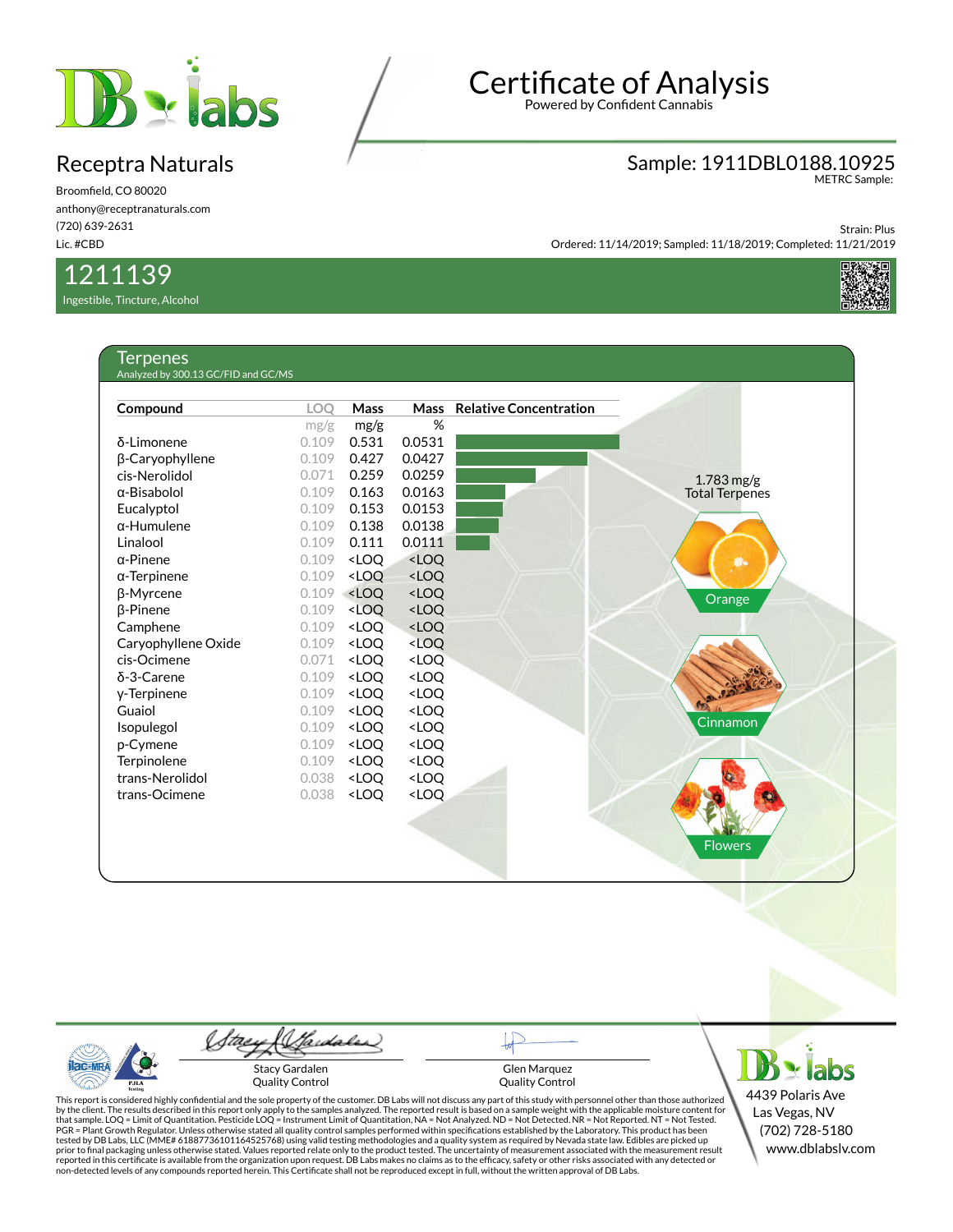

Broomfield, CO 80020 anthony@receptranaturals.com (720) 639-2631 Lic. #CBD

### 1211139

Ingestible, Tincture, Alcohol

## Certificate of Analysis

Powered by Confident Cannabis

### Sample: 1911DBL0188.10925 METRC Sample:

Strain: Plus Ordered: 11/14/2019; Sampled: 11/18/2019; Completed: 11/21/2019



| Compound            | <b>LOO</b> | <b>Mass</b>                                                                      | <b>Mass</b>                                          | <b>Relative Concentration</b> |                       |
|---------------------|------------|----------------------------------------------------------------------------------|------------------------------------------------------|-------------------------------|-----------------------|
|                     | mg/g       | mg/g                                                                             | %                                                    |                               |                       |
| δ-Limonene          | 0.109      | 0.531                                                                            | 0.0531                                               |                               |                       |
| β-Caryophyllene     | 0.109      | 0.427                                                                            | 0.0427                                               |                               |                       |
| cis-Nerolidol       | 0.071      | 0.259                                                                            | 0.0259                                               |                               | $1.783$ mg/g          |
| $\alpha$ -Bisabolol | 0.109      | 0.163                                                                            | 0.0163                                               |                               | <b>Total Terpenes</b> |
| Eucalyptol          | 0.109      | 0.153                                                                            | 0.0153                                               |                               |                       |
| $\alpha$ -Humulene  | 0.109      | 0.138                                                                            | 0.0138                                               |                               |                       |
| Linalool            | 0.109      | 0.111                                                                            | 0.0111                                               |                               |                       |
| $\alpha$ -Pinene    | 0.109      | <loq< td=""><td><loq< td=""><td></td><td><b>Lio</b></td></loq<></td></loq<>      | <loq< td=""><td></td><td><b>Lio</b></td></loq<>      |                               | <b>Lio</b>            |
| $\alpha$ -Terpinene | 0.109      | <loq< td=""><td><loq< td=""><td></td><td></td></loq<></td></loq<>                | <loq< td=""><td></td><td></td></loq<>                |                               |                       |
| β-Myrcene           | 0.109      | <loq< td=""><td><loq< td=""><td></td><td>Orange</td></loq<></td></loq<>          | <loq< td=""><td></td><td>Orange</td></loq<>          |                               | Orange                |
| <b>B-Pinene</b>     | 0.109      | <loq< td=""><td><loq< td=""><td></td><td></td></loq<></td></loq<>                | <loq< td=""><td></td><td></td></loq<>                |                               |                       |
| Camphene            | 0.109      | <loq< td=""><td><math>&lt;</math>LOQ</td><td></td><td></td></loq<>               | $<$ LOQ                                              |                               |                       |
| Caryophyllene Oxide | 0.109      | <loq< td=""><td><math>&lt;</math>LOQ</td><td></td><td></td></loq<>               | $<$ LOQ                                              |                               |                       |
| cis-Ocimene         | 0.071      | <loq< td=""><td><loq< td=""><td></td><td></td></loq<></td></loq<>                | <loq< td=""><td></td><td></td></loq<>                |                               |                       |
| δ-3-Carene          | 0.109      | <loq< td=""><td><loq< td=""><td></td><td></td></loq<></td></loq<>                | <loq< td=""><td></td><td></td></loq<>                |                               |                       |
| y-Terpinene         | 0.109      | <loq< td=""><td><loq< td=""><td></td><td></td></loq<></td></loq<>                | <loq< td=""><td></td><td></td></loq<>                |                               |                       |
| Guaiol              | 0.109      | <loo< td=""><td><loq< td=""><td></td><td></td></loq<></td></loo<>                | <loq< td=""><td></td><td></td></loq<>                |                               |                       |
| Isopulegol          | 0.109      | <loq< td=""><td><loq< td=""><td></td><td><b>Cinnamon</b></td></loq<></td></loq<> | <loq< td=""><td></td><td><b>Cinnamon</b></td></loq<> |                               | <b>Cinnamon</b>       |
| p-Cymene            | 0.109      | <loq< td=""><td><loq< td=""><td></td><td></td></loq<></td></loq<>                | <loq< td=""><td></td><td></td></loq<>                |                               |                       |
| Terpinolene         | 0.109      | <loq< td=""><td><loq< td=""><td></td><td></td></loq<></td></loq<>                | <loq< td=""><td></td><td></td></loq<>                |                               |                       |
| trans-Nerolidol     | 0.038      | <loq< td=""><td><loq< td=""><td></td><td></td></loq<></td></loq<>                | <loq< td=""><td></td><td></td></loq<>                |                               |                       |
| trans-Ocimene       | 0.038      | <loq< td=""><td><loq< td=""><td></td><td></td></loq<></td></loq<>                | <loq< td=""><td></td><td></td></loq<>                |                               |                       |
|                     |            |                                                                                  |                                                      |                               |                       |
|                     |            |                                                                                  |                                                      |                               | <b>Flowers</b>        |

(Sadales) tae  $AC-MR$ Stacy Gardalen Quality Control PJL/

Glen Marquez Quality Control

 $B \cdot$ labs 4439 Polaris Ave Las Vegas, NV (702) 728-5180 www.dblabslv.com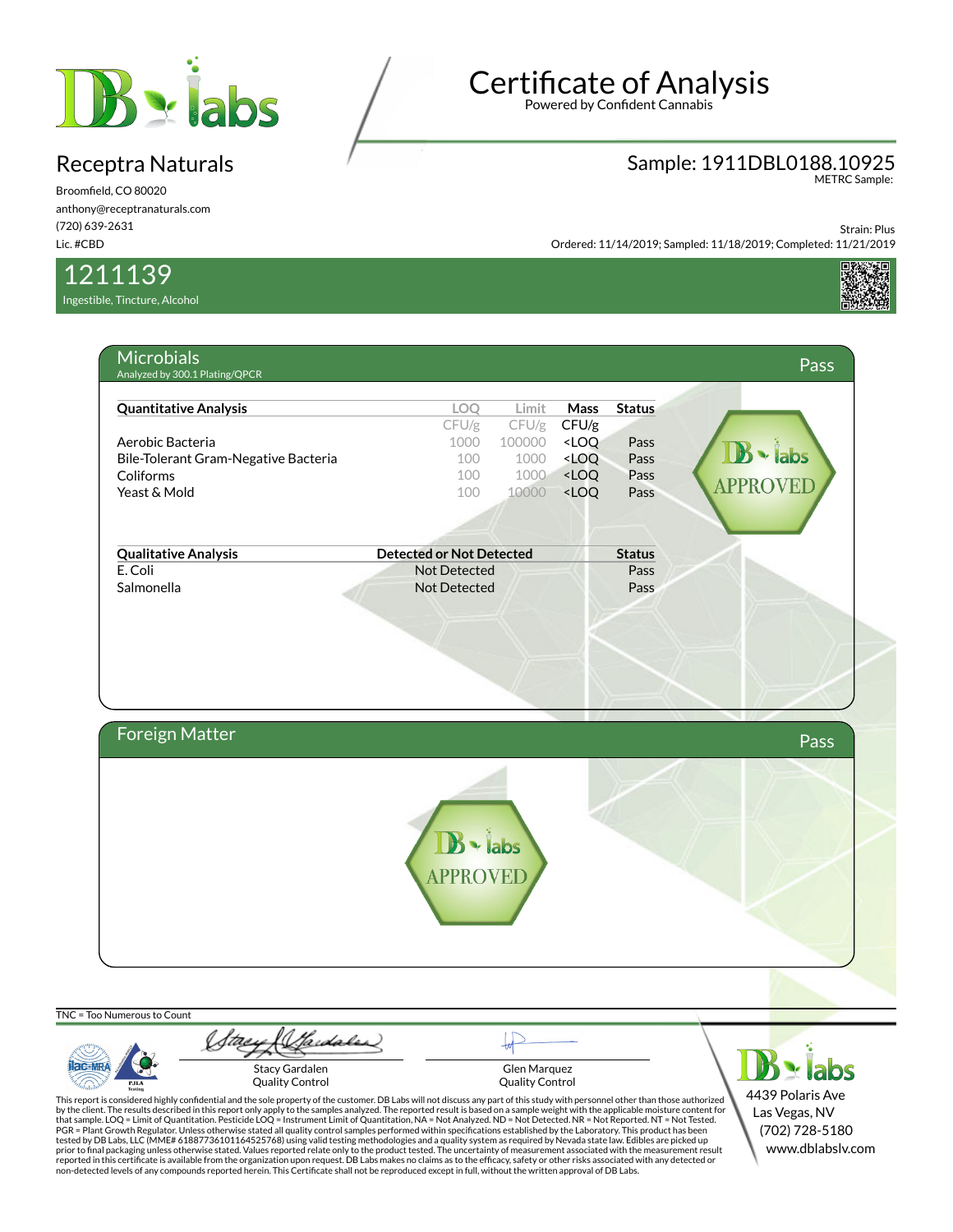

Broomfield, CO 80020 anthony@receptranaturals.com (720) 639-2631 Lic. #CBD

1211139

Ingestible, Tincture, Alcohol

# Certificate of Analysis

Powered by Confident Cannabis

### Sample: 1911DBL0188.10925 METRC Sample:

Strain: Plus Ordered: 11/14/2019; Sampled: 11/18/2019; Completed: 11/21/2019



| <b>Quantitative Analysis</b>         | LOQ                                 | Limit                                                     | <b>Mass</b>                                                           | <b>Status</b> |                 |
|--------------------------------------|-------------------------------------|-----------------------------------------------------------|-----------------------------------------------------------------------|---------------|-----------------|
|                                      | CFU/g                               | $CFU/g$ CFU/g                                             |                                                                       |               |                 |
| Aerobic Bacteria                     | 1000                                | 100000 <loq< th=""><th></th><th>Pass</th><th></th></loq<> |                                                                       | Pass          |                 |
| Bile-Tolerant Gram-Negative Bacteria | 100                                 |                                                           | 1000 <loq< th=""><th>Pass</th><th><math>\cdot</math> labs</th></loq<> | Pass          | $\cdot$ labs    |
| Coliforms                            | 100                                 |                                                           | 1000 <loq< th=""><th>Pass</th><th><b>APPROVED</b></th></loq<>         | Pass          | <b>APPROVED</b> |
| Yeast & Mold                         | 100                                 | 10000 <loq< th=""><th></th><th>Pass</th><th></th></loq<>  |                                                                       | Pass          |                 |
|                                      |                                     |                                                           |                                                                       |               |                 |
|                                      |                                     |                                                           |                                                                       |               |                 |
| <b>Qualitative Analysis</b>          | <b>Detected or Not Detected</b>     |                                                           |                                                                       | <b>Status</b> |                 |
| E. Coli<br>Salmonella                | <b>Not Detected</b><br>Not Detected |                                                           |                                                                       | Pass<br>Pass  |                 |
|                                      |                                     |                                                           |                                                                       |               |                 |
|                                      |                                     |                                                           |                                                                       |               |                 |
|                                      |                                     |                                                           |                                                                       |               |                 |
|                                      |                                     |                                                           |                                                                       |               |                 |
|                                      |                                     |                                                           |                                                                       |               |                 |
|                                      |                                     |                                                           |                                                                       |               |                 |
|                                      |                                     |                                                           |                                                                       |               |                 |
|                                      |                                     |                                                           |                                                                       |               |                 |
|                                      |                                     |                                                           |                                                                       |               |                 |
| Foreign Matter                       |                                     |                                                           |                                                                       |               | Pass            |
|                                      |                                     |                                                           |                                                                       |               |                 |
|                                      |                                     |                                                           |                                                                       |               |                 |
|                                      |                                     |                                                           |                                                                       |               |                 |
|                                      |                                     |                                                           |                                                                       |               |                 |
|                                      |                                     |                                                           |                                                                       |               |                 |
|                                      |                                     |                                                           |                                                                       |               |                 |
|                                      | $\mathbf{B} \cdot \mathsf{labs}$    |                                                           |                                                                       |               |                 |
|                                      | <b>APPROVED</b>                     |                                                           |                                                                       |               |                 |
|                                      |                                     |                                                           |                                                                       |               |                 |
|                                      |                                     |                                                           |                                                                       |               |                 |
|                                      |                                     |                                                           |                                                                       |               |                 |

 $TNC$ 

**Iac-MF** 

Sardales Stacy Gardalen Quality Control

Glen Marquez Quality Control

 $B \times$  labs 4439 Polaris Ave Las Vegas, NV (702) 728-5180 www.dblabslv.com